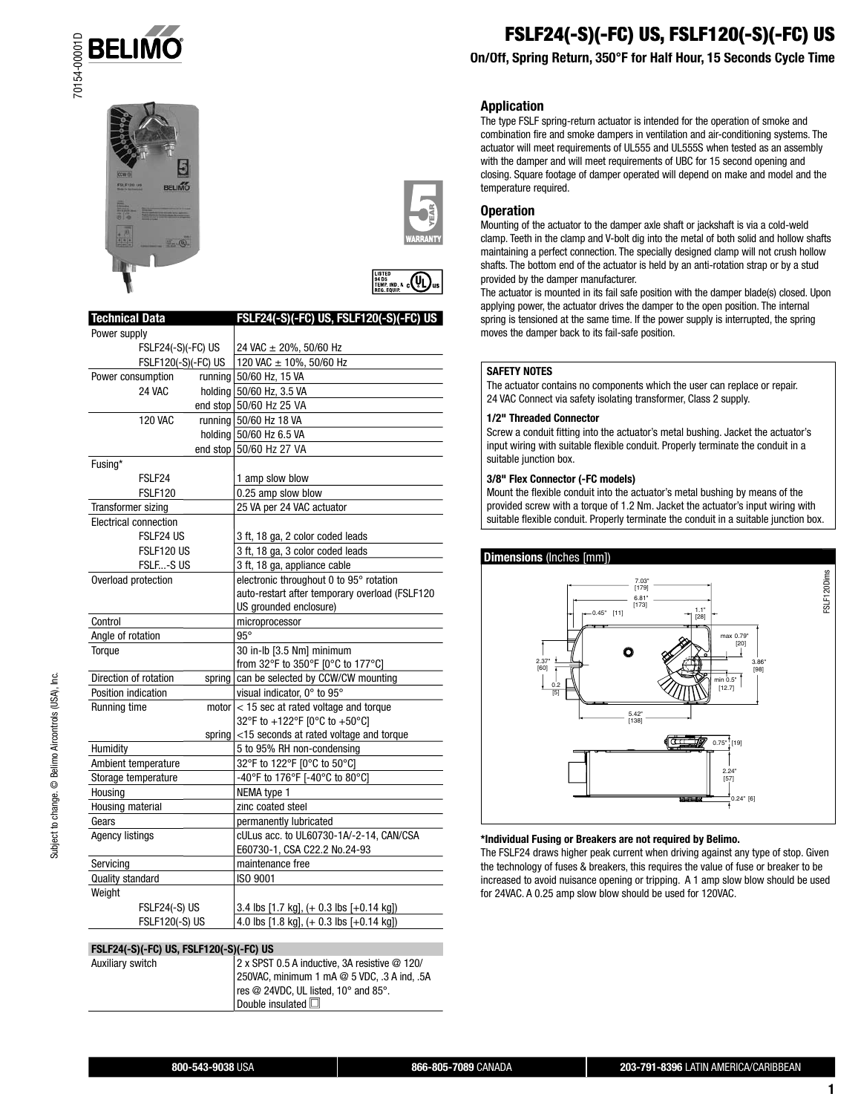







| <b>Technical Data</b>           | FSLF24(-S)(-FC) US, FSLF120(-S)(-FC) US        |
|---------------------------------|------------------------------------------------|
| Power supply                    |                                                |
| FSLF24(-S)(-FC) US              | 24 VAC ± 20%, 50/60 Hz                         |
| FSLF120(-S)(-FC) US             | 120 VAC ± 10%, 50/60 Hz                        |
| Power consumption<br>running    | 50/60 Hz, 15 VA                                |
| <b>24 VAC</b><br>holding        | 50/60 Hz, 3.5 VA                               |
| end stop                        | 50/60 Hz 25 VA                                 |
| <b>120 VAC</b>                  | running 50/60 Hz 18 VA                         |
|                                 | holding 50/60 Hz 6.5 VA                        |
| end stop                        | 50/60 Hz 27 VA                                 |
| Fusing*                         |                                                |
| FSLF <sub>24</sub>              | 1 amp slow blow                                |
| <b>FSLF120</b>                  | 0.25 amp slow blow                             |
| Transformer sizing              | 25 VA per 24 VAC actuator                      |
| <b>Electrical connection</b>    |                                                |
| FSLF24 US                       | 3 ft, 18 ga, 2 color coded leads               |
| FSLF120 US                      | 3 ft, 18 ga, 3 color coded leads               |
| FSLF-S US                       | 3 ft, 18 ga, appliance cable                   |
| Overload protection             | electronic throughout 0 to 95° rotation        |
|                                 | auto-restart after temporary overload (FSLF120 |
|                                 | US grounded enclosure)                         |
| Control                         | microprocessor                                 |
| Angle of rotation               | $95^\circ$                                     |
| Torque                          | 30 in-lb [3.5 Nm] minimum                      |
|                                 | from 32°F to 350°F [0°C to 177°C]              |
| Direction of rotation<br>spring | can be selected by CCW/CW mounting             |
| Position indication             | visual indicator, 0° to 95°                    |
| Running time<br>motor           | < 15 sec at rated voltage and torque           |
|                                 | 32°F to +122°F [0°C to +50°C]                  |
| spring                          | <15 seconds at rated voltage and torque        |
| Humidity                        | 5 to 95% RH non-condensing                     |
| Ambient temperature             | 32°F to 122°F [0°C to 50°C]                    |
| Storage temperature             | -40°F to 176°F [-40°C to 80°C]                 |
| Housing                         | NEMA type 1                                    |
| Housing material                | zinc coated steel                              |
| Gears                           | permanently lubricated                         |
| <b>Agency listings</b>          | cULus acc. to UL60730-1A/-2-14, CAN/CSA        |
|                                 | E60730-1, CSA C22.2 No.24-93                   |
| Servicing                       | maintenance free                               |
| Quality standard                | ISO 9001                                       |
| Weight                          |                                                |
| FSLF24(-S) US                   | 3.4 lbs [1.7 kg], (+ 0.3 lbs [+0.14 kg])       |
| FSLF120(-S) US                  | 4.0 lbs [1.8 kg], (+ 0.3 lbs [+0.14 kg])       |

#### **FSLF24(-S)(-FC) US, FSLF120(-S)(-FC) US**

| $15.2$ $1.3$ $1.4$ $1.5$ $1.5$ $1.5$ $1.5$ $1.5$ $1.5$ $1.5$ $1.5$ |                                               |
|--------------------------------------------------------------------|-----------------------------------------------|
| Auxiliarv switch                                                   | 2 x SPST 0.5 A inductive, 3A resistive @ 120/ |
|                                                                    | 250VAC, minimum 1 mA @ 5 VDC, .3 A ind, .5A   |
|                                                                    | res @ 24VDC, UL listed, 10° and 85°.          |
|                                                                    | Double insulated $\square$                    |

# **FSLF24(-S)(-FC) US, FSLF120(-S)(-FC) US**

# **On/Off, Spring Return, 350°F for Half Hour, 15 Seconds Cycle Time**

#### **Application**

The type FSLF spring-return actuator is intended for the operation of smoke and combination fire and smoke dampers in ventilation and air-conditioning systems. The actuator will meet requirements of UL555 and UL555S when tested as an assembly with the damper and will meet requirements of UBC for 15 second opening and closing. Square footage of damper operated will depend on make and model and the temperature required.

#### **Operation**

Mounting of the actuator to the damper axle shaft or jackshaft is via a cold-weld clamp. Teeth in the clamp and V-bolt dig into the metal of both solid and hollow shafts maintaining a perfect connection. The specially designed clamp will not crush hollow shafts. The bottom end of the actuator is held by an anti-rotation strap or by a stud provided by the damper manufacturer.

The actuator is mounted in its fail safe position with the damper blade(s) closed. Upon applying power, the actuator drives the damper to the open position. The internal spring is tensioned at the same time. If the power supply is interrupted, the spring moves the damper back to its fail-safe position.

#### **SAFETY NOTES**

The actuator contains no components which the user can replace or repair. 24 VAC Connect via safety isolating transformer, Class 2 supply.

#### **1/2" Threaded Connector**

Screw a conduit fitting into the actuator's metal bushing. Jacket the actuator's input wiring with suitable flexible conduit. Properly terminate the conduit in a suitable junction box.

#### **3/8" Flex Connector (-FC models)**

Mount the flexible conduit into the actuator's metal bushing by means of the provided screw with a torque of 1.2 Nm. Jacket the actuator's input wiring with suitable flexible conduit. Properly terminate the conduit in a suitable junction box.



#### **\*Individual Fusing or Breakers are not required by Belimo.**

The FSLF24 draws higher peak current when driving against any type of stop. Given the technology of fuses & breakers, this requires the value of fuse or breaker to be increased to avoid nuisance opening or tripping. A 1 amp slow blow should be used for 24VAC. A 0.25 amp slow blow should be used for 120VAC.